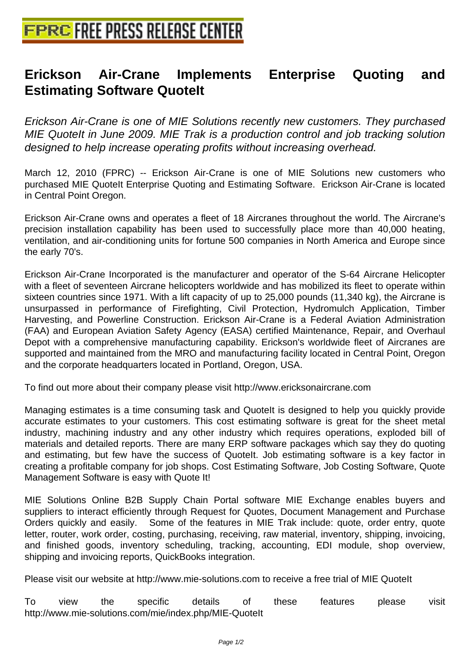## **[Erickson Air-Crane Implement](http://www.free-press-release-center.info)s Enterprise Quoting and Estimating Software QuoteIt**

Erickson Air-Crane is one of MIE Solutions recently new customers. They purchased MIE QuoteIt in June 2009. MIE Trak is a production control and job tracking solution designed to help increase operating profits without increasing overhead.

March 12, 2010 (FPRC) -- Erickson Air-Crane is one of MIE Solutions new customers who purchased MIE QuoteIt Enterprise Quoting and Estimating Software. Erickson Air-Crane is located in Central Point Oregon.

Erickson Air-Crane owns and operates a fleet of 18 Aircranes throughout the world. The Aircrane's precision installation capability has been used to successfully place more than 40,000 heating, ventilation, and air-conditioning units for fortune 500 companies in North America and Europe since the early 70's.

Erickson Air-Crane Incorporated is the manufacturer and operator of the S-64 Aircrane Helicopter with a fleet of seventeen Aircrane helicopters worldwide and has mobilized its fleet to operate within sixteen countries since 1971. With a lift capacity of up to 25,000 pounds (11,340 kg), the Aircrane is unsurpassed in performance of Firefighting, Civil Protection, Hydromulch Application, Timber Harvesting, and Powerline Construction. Erickson Air-Crane is a Federal Aviation Administration (FAA) and European Aviation Safety Agency (EASA) certified Maintenance, Repair, and Overhaul Depot with a comprehensive manufacturing capability. Erickson's worldwide fleet of Aircranes are supported and maintained from the MRO and manufacturing facility located in Central Point, Oregon and the corporate headquarters located in Portland, Oregon, USA.

To find out more about their company please visit http://www.ericksonaircrane.com

Managing estimates is a time consuming task and QuoteIt is designed to help you quickly provide accurate estimates to your customers. This cost estimating software is great for the sheet metal industry, machining industry and any other industry which requires operations, exploded bill of materials and detailed reports. There are many ERP software packages which say they do quoting and estimating, but few have the success of QuoteIt. Job estimating software is a key factor in creating a profitable company for job shops. Cost Estimating Software, Job Costing Software, Quote Management Software is easy with Quote It!

MIE Solutions Online B2B Supply Chain Portal software MIE Exchange enables buyers and suppliers to interact efficiently through Request for Quotes, Document Management and Purchase Orders quickly and easily. Some of the features in MIE Trak include: quote, order entry, quote letter, router, work order, costing, purchasing, receiving, raw material, inventory, shipping, invoicing, and finished goods, inventory scheduling, tracking, accounting, EDI module, shop overview, shipping and invoicing reports, QuickBooks integration.

Please visit our website at http://www.mie-solutions.com to receive a free trial of MIE QuoteIt

To view the specific details of these features please visit http://www.mie-solutions.com/mie/index.php/MIE-QuoteIt